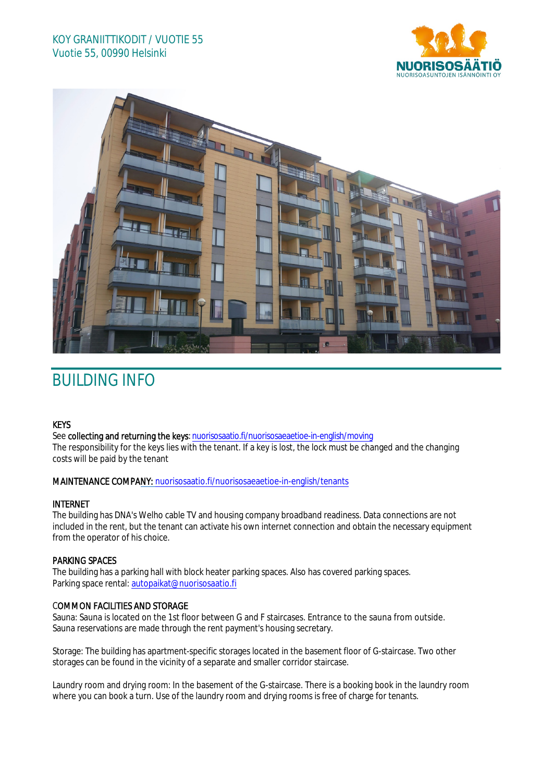



# BUILDING INFO

# **KEYS**

See collecting and returning the keys: n[uorisosaatio.fi/nuorisosaeaetioe](http://www.nuorisosaatio.fi/muuttajalle)-in-english/moving The responsibility for the keys lies with the tenant. If a key is lost, the lock must be changed and the changing costs will be paid by the tenant

# MAINTENANCE COMPANY: [nuorisosaatio.fi/nuoriso](http://www.nuorisosaatio.fi/asukkaalle)saeaetioe-in-english/tenants

# INTERNET

The building has DNA's Welho cable TV and housing company broadband readiness. Data connections are not included in the rent, but the tenant can activate his own internet connection and obtain the necessary equipment from the operator of his choice.

# PARKING SPACES

The building has a parking hall with block heater parking spaces. Also has covered parking spaces. Parking space rental: autopaikat@nuorisosaatio.fi

# COMMON FACILITIES AND STORAGE

Sauna: Sauna is located on the 1st floor between G and F staircases. Entrance to the sauna from outside. Sauna reservations are made through the rent payment's housing secretary.

Storage: The building has apartment-specific storages located in the basement floor of G-staircase. Two other storages can be found in the vicinity of a separate and smaller corridor staircase.

Laundry room and drying room: In the basement of the G-staircase. There is a booking book in the laundry room where you can book a turn. Use of the laundry room and drying rooms is free of charge for tenants.